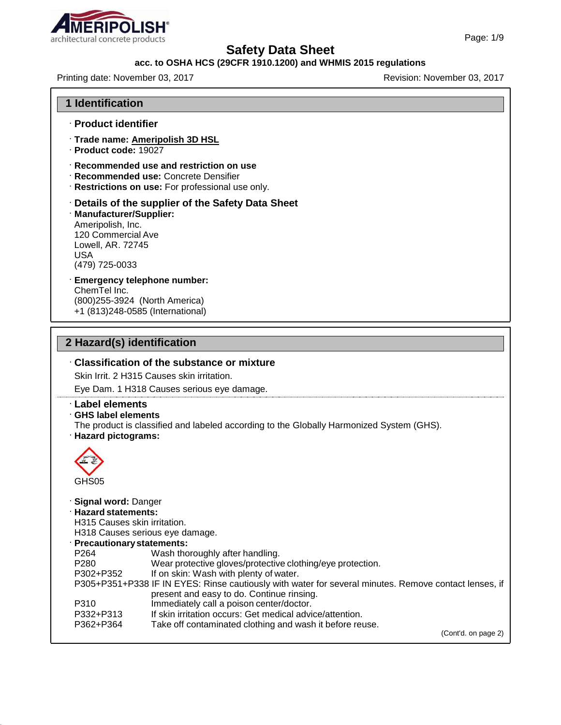

### **acc. to OSHA HCS (29CFR 1910.1200) and WHMIS 2015 regulations**

Printing date: November 03, 2017 Revision: November 03, 2017

#### **1 Identification**

- · **Product identifier**
- · **Trade name: Ameripolish 3D HSL**
- · **Product code:** 19027
- · **Recommended use and restriction on use**
- · **Recommended use:** Concrete Densifier
- · **Restrictions on use:** For professional use only.
- · **Details of the supplier of the Safety Data Sheet**

#### · **Manufacturer/Supplier:** Ameripolish, Inc. 120 Commercial Ave Lowell, AR. 72745 USA (479) 725-0033

#### · **Emergency telephone number:** ChemTel Inc. (800)255-3924 (North America) +1 (813)248-0585 (International)

### **2 Hazard(s) identification**

### · **Classification of the substance or mixture**

Skin Irrit. 2 H315 Causes skin irritation.

Eye Dam. 1 H318 Causes serious eye damage.

#### · **Label elements**

#### · **GHS label elements**

- The product is classified and labeled according to the Globally Harmonized System (GHS).
- · **Hazard pictograms:**



#### · **Signal word:** Danger

· **Hazard statements:**

H315 Causes skin irritation.

H318 Causes serious eye damage.

- · **Precautionarystatements:** P264 Wash thoroughly after handling.
- P280 Wear protective gloves/protective clothing/eye protection.<br>P302+P352 If on skin: Wash with plenty of water. If on skin: Wash with plenty of water. P305+P351+P338 IF IN EYES: Rinse cautiously with water for several minutes. Remove contact lenses, if present and easy to do. Continue rinsing. P310 Immediately call a poison center/doctor. P332+P313 If skin irritation occurs: Get medical advice/attention.
- P362+P364 Take off contaminated clothing and wash it before reuse.

(Cont'd. on page 2)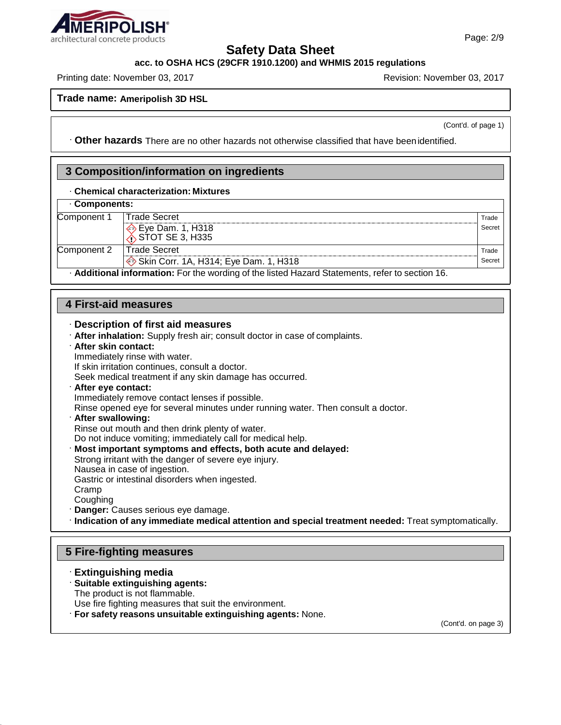

### **acc. to OSHA HCS (29CFR 1910.1200) and WHMIS 2015 regulations**

Printing date: November 03, 2017 Revision: November 03, 2017

**Trade name: Ameripolish 3D HSL**

(Cont'd. of page 1)

· **Other hazards** There are no other hazards not otherwise classified that have beenidentified.

# **3 Composition/information on ingredients**

### · **Chemical characterization: Mixtures**

### · **Components:**

| Component 1                                                                                     | Trade Secret                          | Trade  |  |
|-------------------------------------------------------------------------------------------------|---------------------------------------|--------|--|
|                                                                                                 | Eye Dam. 1, H318<br>∴STOT SE 3, H335  | Secret |  |
|                                                                                                 |                                       |        |  |
| Component 2                                                                                     | Trade Secret                          | Trade  |  |
|                                                                                                 | Skin Corr. 1A, H314; Eye Dam. 1, H318 | Secret |  |
| . Additional information: For the wording of the listed Hazard Statements, refer to section 16. |                                       |        |  |

### **4 First-aid measures**

#### · **Description of first aid measures**

- · **After inhalation:** Supply fresh air; consult doctor in case of complaints.
- · **After skin contact:** Immediately rinse with water.

If skin irritation continues, consult a doctor.

- Seek medical treatment if any skin damage has occurred.
- · **After eye contact:**

Immediately remove contact lenses if possible.

Rinse opened eye for several minutes under running water. Then consult a doctor.

#### · **After swallowing:**

Rinse out mouth and then drink plenty of water.

Do not induce vomiting; immediately call for medical help.

· **Most important symptoms and effects, both acute and delayed:**

Strong irritant with the danger of severe eye injury.

Nausea in case of ingestion.

Gastric or intestinal disorders when ingested.

- Cramp
- **Coughing** · **Danger:** Causes serious eye damage.
- · **Indication of any immediate medical attention and special treatment needed:** Treat symptomatically.

### **5 Fire-fighting measures**

· **Extinguishing media** · **Suitable extinguishing agents:** The product is not flammable. Use fire fighting measures that suit the environment. · **For safety reasons unsuitable extinguishing agents:** None.

(Cont'd. on page 3)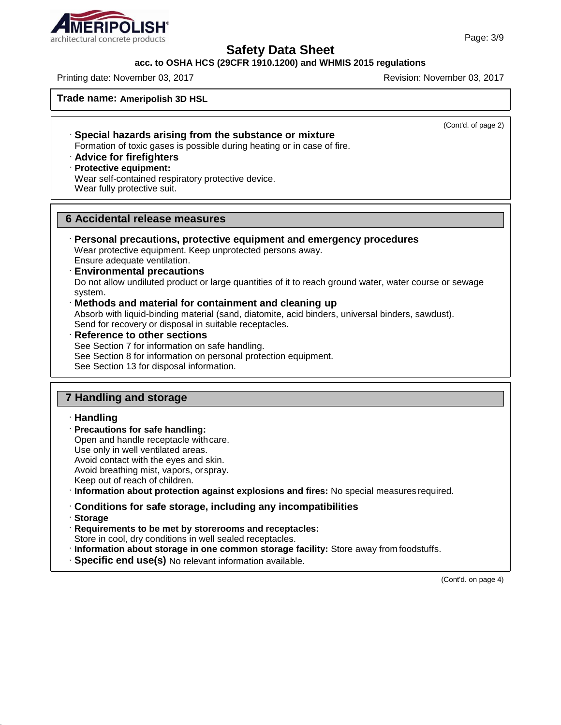

#### **acc. to OSHA HCS (29CFR 1910.1200) and WHMIS 2015 regulations**

Printing date: November 03, 2017 Revision: November 03, 2017

**Trade name: Ameripolish 3D HSL**

(Cont'd. of page 2)

· **Special hazards arising from the substance or mixture** Formation of toxic gases is possible during heating or in case of fire.

· **Advice for firefighters**

· **Protective equipment:**

Wear self-contained respiratory protective device. Wear fully protective suit.

### **6 Accidental release measures**

- · **Personal precautions, protective equipment and emergency procedures** Wear protective equipment. Keep unprotected persons away. Ensure adequate ventilation.
- · **Environmental precautions** Do not allow undiluted product or large quantities of it to reach ground water, water course or sewage system.
- · **Methods and material for containment and cleaning up** Absorb with liquid-binding material (sand, diatomite, acid binders, universal binders, sawdust). Send for recovery or disposal in suitable receptacles.
- · **Reference to other sections** See Section 7 for information on safe handling. See Section 8 for information on personal protection equipment. See Section 13 for disposal information.

## **7 Handling and storage**

### · **Handling**

· **Precautions for safe handling:** 

Open and handle receptacle withcare.

Use only in well ventilated areas.

Avoid contact with the eyes and skin.

Avoid breathing mist, vapors, orspray.

Keep out of reach of children.

· **Information about protection against explosions and fires:** No special measures required.

· **Conditions for safe storage, including any incompatibilities**

· **Storage**

· **Requirements to be met by storerooms and receptacles:** Store in cool, dry conditions in well sealed receptacles.

- · **Information about storage in one common storage facility:** Store away from foodstuffs.
- · **Specific end use(s)** No relevant information available.

(Cont'd. on page 4)

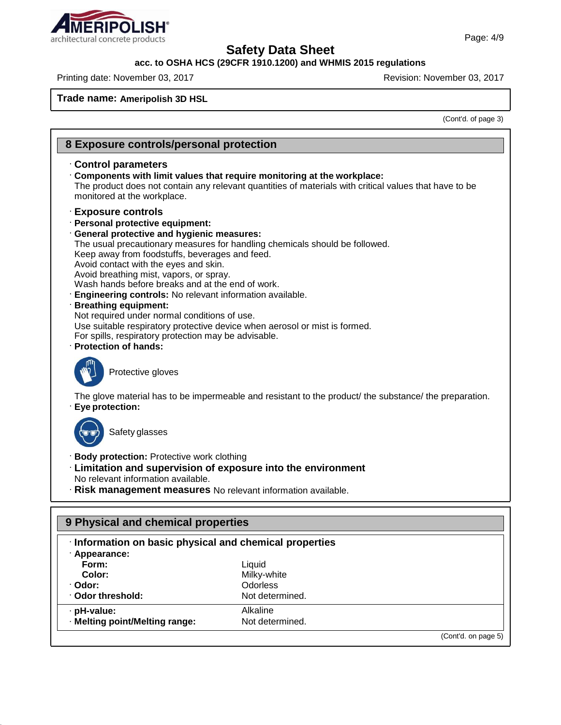

### **acc. to OSHA HCS (29CFR 1910.1200) and WHMIS 2015 regulations**

Printing date: November 03, 2017 **Revision: November 03, 2017** Revision: November 03, 2017

**Trade name: Ameripolish 3D HSL**

(Cont'd. of page 3)

| 8 Exposure controls/personal protection                                                                                                                                                                                                                                                                                                                                                                                                                                                                                                                                                                                                                                                           |  |  |  |  |
|---------------------------------------------------------------------------------------------------------------------------------------------------------------------------------------------------------------------------------------------------------------------------------------------------------------------------------------------------------------------------------------------------------------------------------------------------------------------------------------------------------------------------------------------------------------------------------------------------------------------------------------------------------------------------------------------------|--|--|--|--|
| Control parameters<br>Components with limit values that require monitoring at the workplace:<br>The product does not contain any relevant quantities of materials with critical values that have to be<br>monitored at the workplace.                                                                                                                                                                                                                                                                                                                                                                                                                                                             |  |  |  |  |
| <b>Exposure controls</b><br>· Personal protective equipment:<br>· General protective and hygienic measures:<br>The usual precautionary measures for handling chemicals should be followed.<br>Keep away from foodstuffs, beverages and feed.<br>Avoid contact with the eyes and skin.<br>Avoid breathing mist, vapors, or spray.<br>Wash hands before breaks and at the end of work.<br><b>Engineering controls:</b> No relevant information available.<br>· Breathing equipment:<br>Not required under normal conditions of use.<br>Use suitable respiratory protective device when aerosol or mist is formed.<br>For spills, respiratory protection may be advisable.<br>· Protection of hands: |  |  |  |  |
| Protective gloves                                                                                                                                                                                                                                                                                                                                                                                                                                                                                                                                                                                                                                                                                 |  |  |  |  |
| The glove material has to be impermeable and resistant to the product/ the substance/ the preparation.<br>Eye protection:                                                                                                                                                                                                                                                                                                                                                                                                                                                                                                                                                                         |  |  |  |  |
| Safety glasses                                                                                                                                                                                                                                                                                                                                                                                                                                                                                                                                                                                                                                                                                    |  |  |  |  |
| <b>Body protection: Protective work clothing</b><br>· Limitation and supervision of exposure into the environment<br>No relevant information available.<br>· Risk management measures No relevant information available.                                                                                                                                                                                                                                                                                                                                                                                                                                                                          |  |  |  |  |
| 9 Physical and chemical properties                                                                                                                                                                                                                                                                                                                                                                                                                                                                                                                                                                                                                                                                |  |  |  |  |
| · Information on basic physical and chemical properties                                                                                                                                                                                                                                                                                                                                                                                                                                                                                                                                                                                                                                           |  |  |  |  |

| · Appearance:                  |                 |                     |
|--------------------------------|-----------------|---------------------|
| Form:                          | Liquid          |                     |
| Color:                         | Milky-white     |                     |
| · Odor:                        | <b>Odorless</b> |                     |
| Odor threshold:                | Not determined. |                     |
| · pH-value:                    | Alkaline        |                     |
| · Melting point/Melting range: | Not determined. |                     |
|                                |                 | (Cont'd. on page 5) |

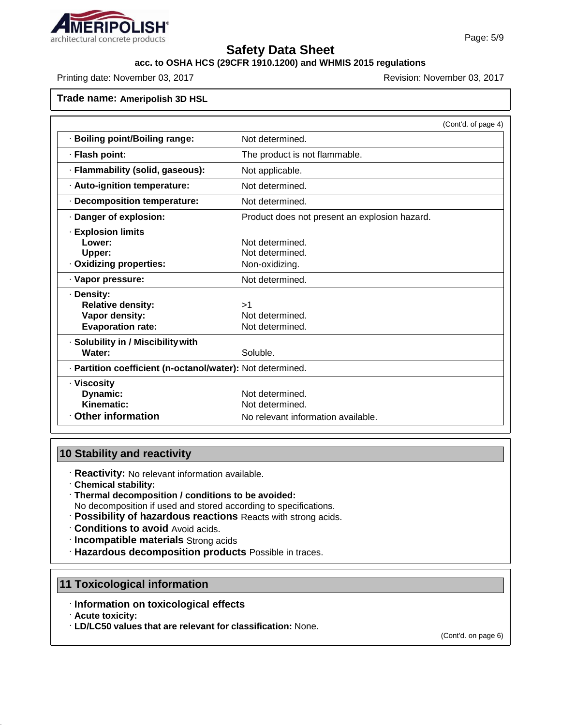

### **acc. to OSHA HCS (29CFR 1910.1200) and WHMIS 2015 regulations**

Printing date: November 03, 2017 Revision: November 03, 2017

**Trade name: Ameripolish 3D HSL**

|                                                                                      |                                                                          | (Cont'd. of page 4) |
|--------------------------------------------------------------------------------------|--------------------------------------------------------------------------|---------------------|
| · Boiling point/Boiling range:                                                       | Not determined.                                                          |                     |
| · Flash point:                                                                       | The product is not flammable.                                            |                     |
| · Flammability (solid, gaseous):                                                     | Not applicable.                                                          |                     |
| · Auto-ignition temperature:                                                         | Not determined.                                                          |                     |
| · Decomposition temperature:                                                         | Not determined.                                                          |                     |
| · Danger of explosion:                                                               | Product does not present an explosion hazard.                            |                     |
| <b>Explosion limits</b><br>Lower:<br>Upper:<br>· Oxidizing properties:               | Not determined.<br>Not determined.<br>Non-oxidizing.                     |                     |
| · Vapor pressure:                                                                    | Not determined.                                                          |                     |
| · Density:<br><b>Relative density:</b><br>Vapor density:<br><b>Evaporation rate:</b> | >1<br>Not determined.<br>Not determined.                                 |                     |
| · Solubility in / Miscibility with<br>Water:                                         | Soluble.                                                                 |                     |
| · Partition coefficient (n-octanol/water): Not determined.                           |                                                                          |                     |
| · Viscositv<br>Dynamic:<br>Kinematic:<br><b>Other information</b>                    | Not determined.<br>Not determined.<br>No relevant information available. |                     |

### **10 Stability and reactivity**

· **Reactivity:** No relevant information available.

- · **Chemical stability:**
- · **Thermal decomposition / conditions to be avoided:**

No decomposition if used and stored according to specifications.

- · **Possibility of hazardous reactions** Reacts with strong acids.
- · **Conditions to avoid** Avoid acids.
- · **Incompatible materials** Strong acids
- · **Hazardous decomposition products** Possible in traces.

### **11 Toxicological information**

- · **Information on toxicological effects**
- · **Acute toxicity:**
- · **LD/LC50 values that are relevant for classification:** None.

(Cont'd. on page 6)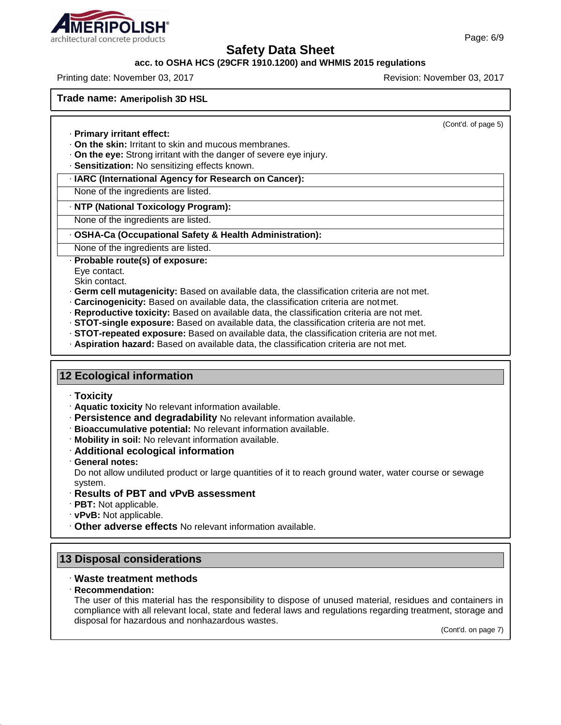### **acc. to OSHA HCS (29CFR 1910.1200) and WHMIS 2015 regulations**

Printing date: November 03, 2017 Revision: November 03, 2017

**Trade name: Ameripolish 3D HSL**

(Cont'd. of page 5)

- · **Primary irritant effect:**
- · **On the skin:** Irritant to skin and mucous membranes.
- · **On the eye:** Strong irritant with the danger of severe eye injury.
- · **Sensitization:** No sensitizing effects known.

#### · **IARC (International Agency for Research on Cancer):**

None of the ingredients are listed.

#### · **NTP (National Toxicology Program):**

None of the ingredients are listed.

#### · **OSHA-Ca (Occupational Safety & Health Administration):**

None of the ingredients are listed.

#### · **Probable route(s) of exposure:**

Eye contact.

Skin contact.

- · **Germ cell mutagenicity:** Based on available data, the classification criteria are not met.
- · **Carcinogenicity:** Based on available data, the classification criteria are notmet.
- · **Reproductive toxicity:** Based on available data, the classification criteria are not met.
- · **STOT-single exposure:** Based on available data, the classification criteria are not met.
- · **STOT-repeated exposure:** Based on available data, the classification criteria are not met.
- · **Aspiration hazard:** Based on available data, the classification criteria are not met.

### **12 Ecological information**

- · **Toxicity**
- · **Aquatic toxicity** No relevant information available.
- · **Persistence and degradability** No relevant information available.
- · **Bioaccumulative potential:** No relevant information available.
- · **Mobility in soil:** No relevant information available.
- · **Additional ecological information**
- · **General notes:**

Do not allow undiluted product or large quantities of it to reach ground water, water course or sewage system.

- · **Results of PBT and vPvB assessment**
- · **PBT:** Not applicable.
- · **vPvB:** Not applicable.
- · **Other adverse effects** No relevant information available.

### **13 Disposal considerations**

### · **Waste treatment methods**

### · **Recommendation:**

The user of this material has the responsibility to dispose of unused material, residues and containers in compliance with all relevant local, state and federal laws and regulations regarding treatment, storage and disposal for hazardous and nonhazardous wastes.

(Cont'd. on page 7)

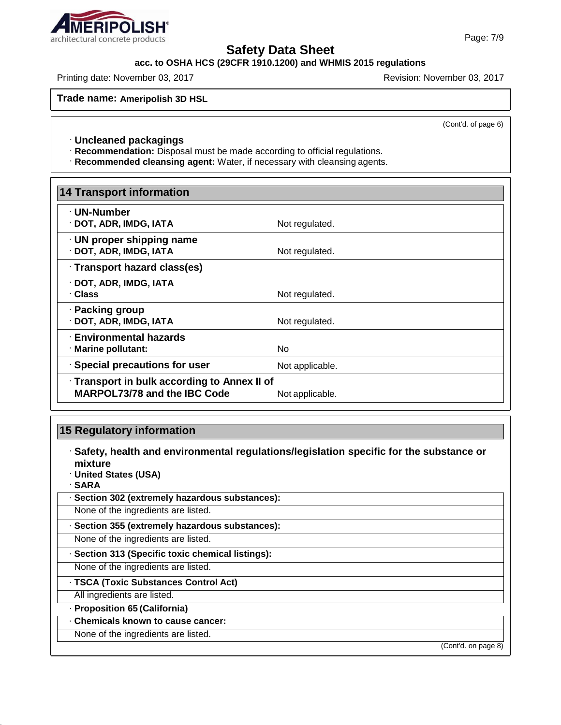

### **acc. to OSHA HCS (29CFR 1910.1200) and WHMIS 2015 regulations**

Printing date: November 03, 2017 Revision: November 03, 2017

**Trade name: Ameripolish 3D HSL**

(Cont'd. of page 6)

### · **Uncleaned packagings**

· **Recommendation:** Disposal must be made according to official regulations.

· **Recommended cleansing agent:** Water, if necessary with cleansing agents.

| <b>14 Transport information</b>              |                 |  |  |
|----------------------------------------------|-----------------|--|--|
| · UN-Number<br>· DOT, ADR, IMDG, IATA        | Not regulated.  |  |  |
| · UN proper shipping name                    |                 |  |  |
| · DOT, ADR, IMDG, IATA                       | Not regulated.  |  |  |
| · Transport hazard class(es)                 |                 |  |  |
| · DOT, ADR, IMDG, IATA                       |                 |  |  |
| · Class                                      | Not regulated.  |  |  |
| · Packing group                              |                 |  |  |
| · DOT, ADR, IMDG, IATA                       | Not regulated.  |  |  |
| <b>Environmental hazards</b>                 |                 |  |  |
| · Marine pollutant:                          | No.             |  |  |
| · Special precautions for user               | Not applicable. |  |  |
| · Transport in bulk according to Annex II of |                 |  |  |
| <b>MARPOL73/78 and the IBC Code</b>          | Not applicable. |  |  |

### **15 Regulatory information**

· **Safety, health and environmental regulations/legislation specific for the substance or mixture**

· **United States (USA)**

· **SARA**

· **Section 302 (extremely hazardous substances):**

None of the ingredients are listed.

· **Section 355 (extremely hazardous substances):**

None of the ingredients are listed.

· **Section 313 (Specific toxic chemical listings):**

None of the ingredients are listed.

· **TSCA (Toxic Substances Control Act)**

All ingredients are listed.

· **Proposition 65 (California)**

### · **Chemicals known to cause cancer:**

# None of the ingredients are listed.

(Cont'd. on page 8)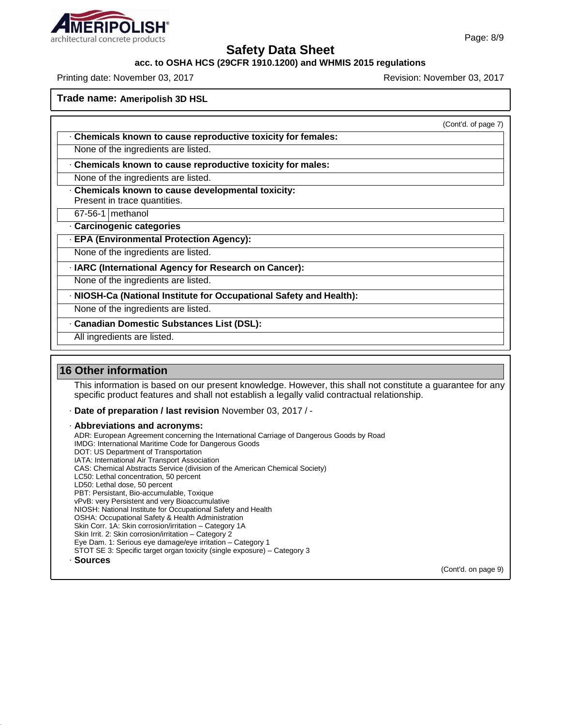

### **acc. to OSHA HCS (29CFR 1910.1200) and WHMIS 2015 regulations**

Printing date: November 03, 2017 Revision: November 03, 2017

**Trade name: Ameripolish 3D HSL**

(Cont'd. of page 7)

- · **Chemicals known to cause reproductive toxicity for females:**
- None of the ingredients are listed.
- · **Chemicals known to cause reproductive toxicity for males:**
- None of the ingredients are listed.
- · **Chemicals known to cause developmental toxicity:** Present in trace quantities.
- 67-56-1 methanol
- · **Carcinogenic categories**
- · **EPA (Environmental Protection Agency):**
- None of the ingredients are listed.
- · **IARC (International Agency for Research on Cancer):**
- None of the ingredients are listed.
- · **NIOSH-Ca (National Institute for Occupational Safety and Health):**
- None of the ingredients are listed.
- · **Canadian Domestic Substances List (DSL):**
	- All ingredients are listed.

### **16 Other information**

This information is based on our present knowledge. However, this shall not constitute a guarantee for any specific product features and shall not establish a legally valid contractual relationship.

- · **Date of preparation / last revision** November 03, 2017 / -
- · **Abbreviations and acronyms:**
- ADR: European Agreement concerning the International Carriage of Dangerous Goods by Road IMDG: International Maritime Code for Dangerous Goods DOT: US Department of Transportation IATA: International Air Transport Association CAS: Chemical Abstracts Service (division of the American Chemical Society) LC50: Lethal concentration, 50 percent LD50: Lethal dose, 50 percent PBT: Persistant, Bio-accumulable, Toxique vPvB: very Persistent and very Bioaccumulative NIOSH: National Institute for Occupational Safety and Health OSHA: Occupational Safety & Health Administration Skin Corr. 1A: Skin corrosion/irritation – Category 1A Skin Irrit. 2: Skin corrosion/irritation - Category 2 Eye Dam. 1: Serious eye damage/eye irritation – Category 1 STOT SE 3: Specific target organ toxicity (single exposure) – Category 3 · **Sources**

(Cont'd. on page 9)